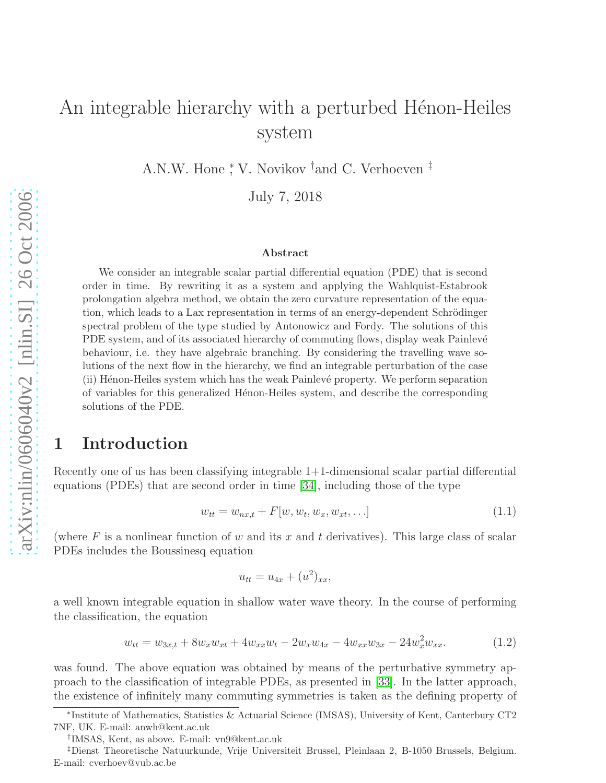# An integrable hierarchy with a perturbed Hénon-Heiles system

A.N.W. Hone <sup>\*</sup>, V. Novikov <sup>†</sup>and C. Verhoeven <sup>‡</sup>

July 7, 2018

#### Abstract

We consider an integrable scalar partial differential equation (PDE) that is second order in time. By rewriting it as a system and applying the Wahlquist-Estabrook prolongation algebra method, we obtain the zero curvature representation of the equation, which leads to a Lax representation in terms of an energy-dependent Schrödinger spectral problem of the type studied by Antonowicz and Fordy. The solutions of this PDE system, and of its associated hierarchy of commuting flows, display weak Painlevé behaviour, i.e. they have algebraic branching. By considering the travelling wave solutions of the next flow in the hierarchy, we find an integrable perturbation of the case (ii) H´enon-Heiles system which has the weak Painlev´e property. We perform separation of variables for this generalized Henon-Heiles system, and describe the corresponding solutions of the PDE.

### 1 Introduction

Recently one of us has been classifying integrable 1+1-dimensional scalar partial differential equations (PDEs) that are second order in time [\[34\]](#page-20-0), including those of the type

$$
w_{tt} = w_{nx,t} + F[w, w_t, w_x, w_{xt}, \ldots]
$$
\n(1.1)

(where  $F$  is a nonlinear function of  $w$  and its  $x$  and  $t$  derivatives). This large class of scalar PDEs includes the Boussinesq equation

<span id="page-0-0"></span>
$$
u_{tt} = u_{4x} + (u^2)_{xx},
$$

a well known integrable equation in shallow water wave theory. In the course of performing the classification, the equation

<span id="page-0-1"></span>
$$
w_{tt} = w_{3x,t} + 8w_x w_{xt} + 4w_{xx} w_t - 2w_x w_{4x} - 4w_{xx} w_{3x} - 24w_x^2 w_{xx}.
$$
 (1.2)

was found. The above equation was obtained by means of the perturbative symmetry approach to the classification of integrable PDEs, as presented in [\[33\]](#page-20-1). In the latter approach, the existence of infinitely many commuting symmetries is taken as the defining property of

<sup>∗</sup> Institute of Mathematics, Statistics & Actuarial Science (IMSAS), University of Kent, Canterbury CT2 7NF, UK. E-mail: anwh@kent.ac.uk

<sup>†</sup> IMSAS, Kent, as above. E-mail: vn9@kent.ac.uk

<sup>‡</sup>Dienst Theoretische Natuurkunde, Vrije Universiteit Brussel, Pleinlaan 2, B-1050 Brussels, Belgium. E-mail: cverhoev@vub.ac.be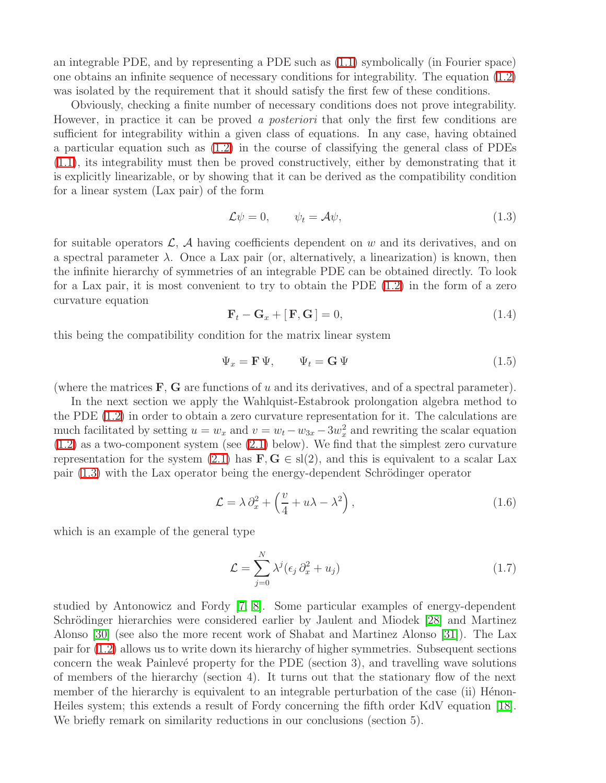an integrable PDE, and by representing a PDE such as [\(1.1\)](#page-0-0) symbolically (in Fourier space) one obtains an infinite sequence of necessary conditions for integrability. The equation [\(1.2\)](#page-0-1) was isolated by the requirement that it should satisfy the first few of these conditions.

Obviously, checking a finite number of necessary conditions does not prove integrability. However, in practice it can be proved a posteriori that only the first few conditions are sufficient for integrability within a given class of equations. In any case, having obtained a particular equation such as [\(1.2\)](#page-0-1) in the course of classifying the general class of PDEs [\(1.1\)](#page-0-0), its integrability must then be proved constructively, either by demonstrating that it is explicitly linearizable, or by showing that it can be derived as the compatibility condition for a linear system (Lax pair) of the form

<span id="page-1-0"></span>
$$
\mathcal{L}\psi = 0, \qquad \psi_t = \mathcal{A}\psi, \tag{1.3}
$$

<span id="page-1-1"></span>for suitable operators  $\mathcal{L}, \mathcal{A}$  having coefficients dependent on w and its derivatives, and on a spectral parameter  $\lambda$ . Once a Lax pair (or, alternatively, a linearization) is known, then the infinite hierarchy of symmetries of an integrable PDE can be obtained directly. To look for a Lax pair, it is most convenient to try to obtain the PDE [\(1.2\)](#page-0-1) in the form of a zero curvature equation

<span id="page-1-2"></span>
$$
\mathbf{F}_t - \mathbf{G}_x + [\mathbf{F}, \mathbf{G}] = 0,\tag{1.4}
$$

this being the compatibility condition for the matrix linear system

$$
\Psi_x = \mathbf{F} \Psi, \qquad \Psi_t = \mathbf{G} \Psi \tag{1.5}
$$

(where the matrices  $\mathbf{F}$ ,  $\mathbf{G}$  are functions of u and its derivatives, and of a spectral parameter).

In the next section we apply the Wahlquist-Estabrook prolongation algebra method to the PDE [\(1.2\)](#page-0-1) in order to obtain a zero curvature representation for it. The calculations are much facilitated by setting  $u = w_x$  and  $v = w_t - w_{3x} - 3w_x^2$  and rewriting the scalar equation  $(1.2)$  as a two-component system (see  $(2.1)$  below). We find that the simplest zero curvature representation for the system [\(2.1\)](#page-2-0) has  $\mathbf{F}, \mathbf{G} \in sl(2)$ , and this is equivalent to a scalar Lax pair  $(1.3)$  with the Lax operator being the energy-dependent Schrödinger operator

<span id="page-1-4"></span><span id="page-1-3"></span>
$$
\mathcal{L} = \lambda \, \partial_x^2 + \left(\frac{v}{4} + u\lambda - \lambda^2\right),\tag{1.6}
$$

which is an example of the general type

$$
\mathcal{L} = \sum_{j=0}^{N} \lambda^{j} (\epsilon_j \partial_x^2 + u_j)
$$
 (1.7)

studied by Antonowicz and Fordy [\[7,](#page-19-0) [8\]](#page-19-1). Some particular examples of energy-dependent Schrödinger hierarchies were considered earlier by Jaulent and Miodek [\[28\]](#page-20-2) and Martinez Alonso [\[30\]](#page-20-3) (see also the more recent work of Shabat and Martinez Alonso [\[31\]](#page-20-4)). The Lax pair for [\(1.2\)](#page-0-1) allows us to write down its hierarchy of higher symmetries. Subsequent sections concern the weak Painlevé property for the PDE (section 3), and travelling wave solutions of members of the hierarchy (section 4). It turns out that the stationary flow of the next member of the hierarchy is equivalent to an integrable perturbation of the case (ii) Hénon-Heiles system; this extends a result of Fordy concerning the fifth order KdV equation [\[18\]](#page-19-2). We briefly remark on similarity reductions in our conclusions (section 5).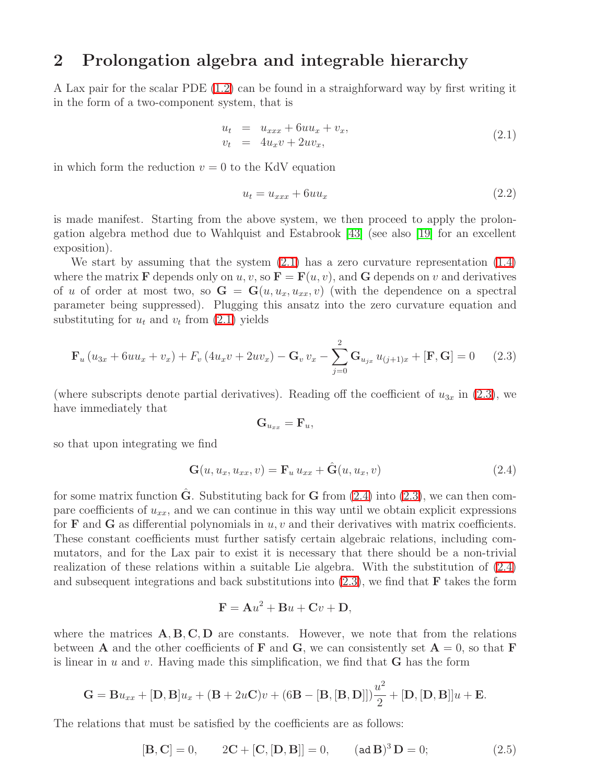### 2 Prolongation algebra and integrable hierarchy

A Lax pair for the scalar PDE [\(1.2\)](#page-0-1) can be found in a straighforward way by first writing it in the form of a two-component system, that is

<span id="page-2-0"></span>
$$
u_t = u_{xxx} + 6uu_x + v_x, \n v_t = 4u_xv + 2uv_x,
$$
\n(2.1)

in which form the reduction  $v = 0$  to the KdV equation

<span id="page-2-1"></span>
$$
u_t = u_{xxx} + 6uu_x \tag{2.2}
$$

is made manifest. Starting from the above system, we then proceed to apply the prolongation algebra method due to Wahlquist and Estabrook [\[43\]](#page-20-5) (see also [\[19\]](#page-19-3) for an excellent exposition).

We start by assuming that the system  $(2.1)$  has a zero curvature representation  $(1.4)$ where the matrix **F** depends only on u, v, so  $\mathbf{F} = \mathbf{F}(u, v)$ , and **G** depends on v and derivatives of u of order at most two, so  $G = G(u, u_x, u_{xx}, v)$  (with the dependence on a spectral parameter being suppressed). Plugging this ansatz into the zero curvature equation and substituting for  $u_t$  and  $v_t$  from  $(2.1)$  yields

$$
\mathbf{F}_{u} \left( u_{3x} + 6uu_{x} + v_{x} \right) + F_{v} \left( 4u_{x}v + 2uv_{x} \right) - \mathbf{G}_{v} v_{x} - \sum_{j=0}^{2} \mathbf{G}_{u_{jx}} u_{(j+1)x} + [\mathbf{F}, \mathbf{G}] = 0 \tag{2.3}
$$

(where subscripts denote partial derivatives). Reading off the coefficient of  $u_{3x}$  in [\(2.3\)](#page-2-1), we have immediately that

$$
\mathbf{G}_{u_{xx}}=\mathbf{F}_{u},
$$

so that upon integrating we find

<span id="page-2-2"></span>
$$
\mathbf{G}(u, u_x, u_{xx}, v) = \mathbf{F}_u u_{xx} + \hat{\mathbf{G}}(u, u_x, v)
$$
\n(2.4)

for some matrix function  $\hat{G}$ . Substituting back for  $G$  from [\(2.4\)](#page-2-2) into [\(2.3\)](#page-2-1), we can then compare coefficients of  $u_{xx}$ , and we can continue in this way until we obtain explicit expressions for **F** and **G** as differential polynomials in  $u, v$  and their derivatives with matrix coefficients. These constant coefficients must further satisfy certain algebraic relations, including commutators, and for the Lax pair to exist it is necessary that there should be a non-trivial realization of these relations within a suitable Lie algebra. With the substitution of [\(2.4\)](#page-2-2) and subsequent integrations and back substitutions into  $(2.3)$ , we find that **F** takes the form

<span id="page-2-3"></span>
$$
\mathbf{F} = \mathbf{A}u^2 + \mathbf{B}u + \mathbf{C}v + \mathbf{D},
$$

where the matrices  $A, B, C, D$  are constants. However, we note that from the relations between **A** and the other coefficients of **F** and **G**, we can consistently set  $A = 0$ , so that **F** is linear in u and v. Having made this simplification, we find that  **has the form** 

$$
\mathbf{G} = \mathbf{B} u_{xx} + [\mathbf{D}, \mathbf{B}] u_x + (\mathbf{B} + 2u\mathbf{C})v + (6\mathbf{B} - [\mathbf{B}, [\mathbf{B}, \mathbf{D}]])\frac{u^2}{2} + [\mathbf{D}, [\mathbf{D}, \mathbf{B}]]u + \mathbf{E}.
$$

The relations that must be satisfied by the coefficients are as follows:

$$
[\mathbf{B}, \mathbf{C}] = 0, \qquad 2\mathbf{C} + [\mathbf{C}, [\mathbf{D}, \mathbf{B}]] = 0, \qquad (\text{ad } \mathbf{B})^3 \mathbf{D} = 0; \tag{2.5}
$$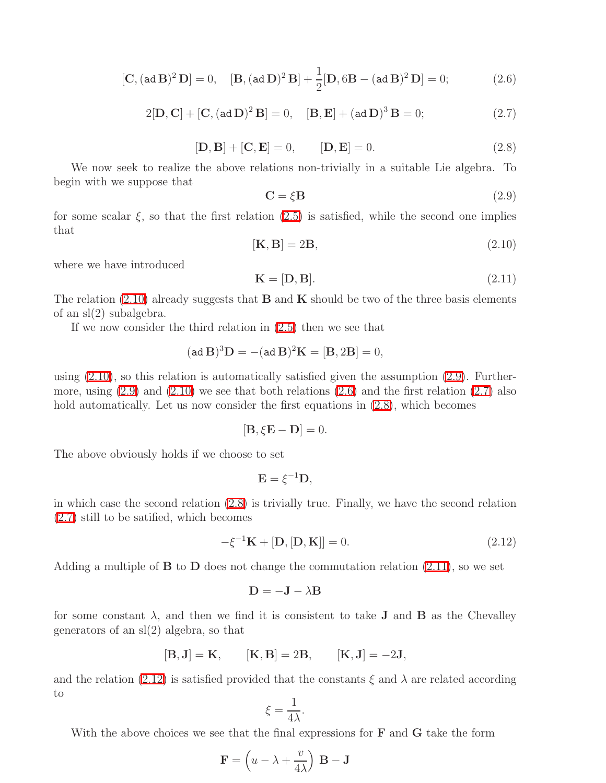<span id="page-3-2"></span>
$$
[\mathbf{C}, (\text{ad}\,\mathbf{B})^2 \,\mathbf{D}] = 0, \quad [\mathbf{B}, (\text{ad}\,\mathbf{D})^2 \,\mathbf{B}] + \frac{1}{2} [\mathbf{D}, 6\mathbf{B} - (\text{ad}\,\mathbf{B})^2 \,\mathbf{D}] = 0; \tag{2.6}
$$

<span id="page-3-1"></span>
$$
2[\mathbf{D}, \mathbf{C}] + [\mathbf{C}, (\text{ad }\mathbf{D})^2 \mathbf{B}] = 0, \quad [\mathbf{B}, \mathbf{E}] + (\text{ad }\mathbf{D})^3 \mathbf{B} = 0; \tag{2.7}
$$

$$
[\mathbf{D}, \mathbf{B}] + [\mathbf{C}, \mathbf{E}] = 0, \qquad [\mathbf{D}, \mathbf{E}] = 0.
$$
 (2.8)

<span id="page-3-4"></span><span id="page-3-3"></span>We now seek to realize the above relations non-trivially in a suitable Lie algebra. To begin with we suppose that

$$
\mathbf{C} = \xi \mathbf{B} \tag{2.9}
$$

<span id="page-3-0"></span>for some scalar  $\xi$ , so that the first relation  $(2.5)$  is satisfied, while the second one implies that

$$
[\mathbf{K}, \mathbf{B}] = 2\mathbf{B},\tag{2.10}
$$

<span id="page-3-5"></span>where we have introduced

$$
\mathbf{K} = [\mathbf{D}, \mathbf{B}].\tag{2.11}
$$

The relation  $(2.10)$  already suggests that **B** and **K** should be two of the three basis elements of an sl(2) subalgebra.

If we now consider the third relation in [\(2.5\)](#page-2-3) then we see that

$$
(\text{ad}\,\mathbf{B})^3\mathbf{D} = -(\text{ad}\,\mathbf{B})^2\mathbf{K} = [\mathbf{B}, 2\mathbf{B}] = 0,
$$

using  $(2.10)$ , so this relation is automatically satisfied given the assumption  $(2.9)$ . Furthermore, using  $(2.9)$  and  $(2.10)$  we see that both relations  $(2.6)$  and the first relation  $(2.7)$  also hold automatically. Let us now consider the first equations in [\(2.8\)](#page-3-4), which becomes

$$
[\mathbf{B}, \xi \mathbf{E} - \mathbf{D}] = 0.
$$

The above obviously holds if we choose to set

$$
\mathbf{E}=\xi^{-1}\mathbf{D},
$$

in which case the second relation [\(2.8\)](#page-3-4) is trivially true. Finally, we have the second relation [\(2.7\)](#page-3-3) still to be satified, which becomes

<span id="page-3-6"></span>
$$
-\xi^{-1}\mathbf{K} + [\mathbf{D}, [\mathbf{D}, \mathbf{K}]] = 0. \tag{2.12}
$$

Adding a multiple of  $\bf{B}$  to  $\bf{D}$  does not change the commutation relation [\(2.11\)](#page-3-5), so we set

$$
\mathbf{D} = -\mathbf{J} - \lambda \mathbf{B}
$$

for some constant  $\lambda$ , and then we find it is consistent to take **J** and **B** as the Chevalley generators of an sl(2) algebra, so that

$$
[\mathbf{B}, \mathbf{J}] = \mathbf{K}, \qquad [\mathbf{K}, \mathbf{B}] = 2\mathbf{B}, \qquad [\mathbf{K}, \mathbf{J}] = -2\mathbf{J},
$$

and the relation [\(2.12\)](#page-3-6) is satisfied provided that the constants  $\xi$  and  $\lambda$  are related according to

$$
\xi = \frac{1}{4\lambda}.
$$

With the above choices we see that the final expressions for  $\bf{F}$  and  $\bf{G}$  take the form

$$
\mathbf{F} = \left(u - \lambda + \frac{v}{4\lambda}\right) \mathbf{B} - \mathbf{J}
$$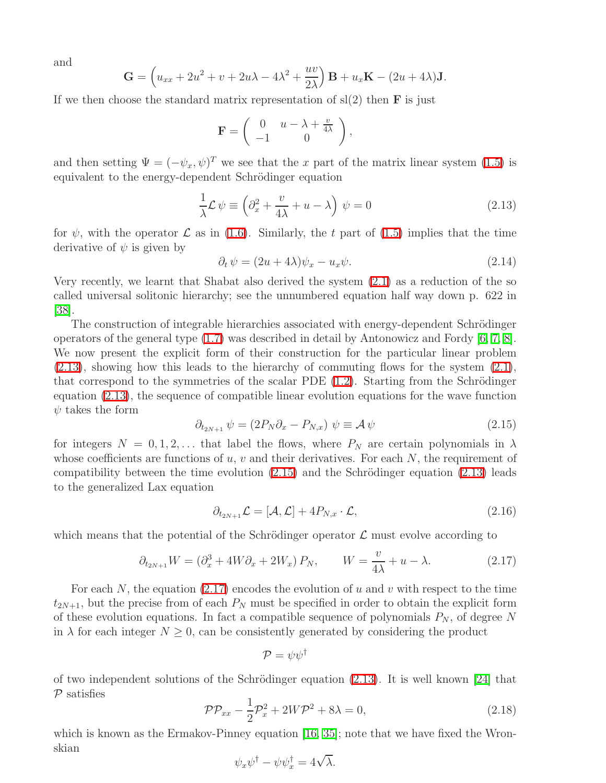and

$$
\mathbf{G} = \left(u_{xx} + 2u^2 + v + 2u\lambda - 4\lambda^2 + \frac{uv}{2\lambda}\right)\mathbf{B} + u_x\mathbf{K} - (2u + 4\lambda)\mathbf{J}.
$$

If we then choose the standard matrix representation of  $sl(2)$  then **F** is just

<span id="page-4-0"></span>
$$
\mathbf{F} = \left( \begin{array}{cc} 0 & u - \lambda + \frac{v}{4\lambda} \\ -1 & 0 \end{array} \right),
$$

and then setting  $\Psi = (-\psi_x, \psi)^T$  we see that the x part of the matrix linear system [\(1.5\)](#page-1-2) is equivalent to the energy-dependent Schrödinger equation

$$
\frac{1}{\lambda}\mathcal{L}\,\psi \equiv \left(\partial_x^2 + \frac{v}{4\lambda} + u - \lambda\right)\,\psi = 0\tag{2.13}
$$

<span id="page-4-4"></span>for  $\psi$ , with the operator  $\mathcal L$  as in [\(1.6\)](#page-1-3). Similarly, the t part of [\(1.5\)](#page-1-2) implies that the time derivative of  $\psi$  is given by

$$
\partial_t \psi = (2u + 4\lambda)\psi_x - u_x \psi. \tag{2.14}
$$

Very recently, we learnt that Shabat also derived the system [\(2.1\)](#page-2-0) as a reduction of the so called universal solitonic hierarchy; see the unnumbered equation half way down p. 622 in [\[38\]](#page-20-6).

The construction of integrable hierarchies associated with energy-dependent Schrödinger operators of the general type [\(1.7\)](#page-1-4) was described in detail by Antonowicz and Fordy [\[6,](#page-19-4) [7,](#page-19-0) [8\]](#page-19-1). We now present the explicit form of their construction for the particular linear problem  $(2.13)$ , showing how this leads to the hierarchy of commuting flows for the system  $(2.1)$ , that correspond to the symmetries of the scalar PDE  $(1.2)$ . Starting from the Schrödinger equation [\(2.13\)](#page-4-0), the sequence of compatible linear evolution equations for the wave function  $\psi$  takes the form

$$
\partial_{t_{2N+1}} \psi = (2P_N \partial_x - P_{N,x}) \psi \equiv \mathcal{A} \psi \tag{2.15}
$$

<span id="page-4-1"></span>for integers  $N = 0, 1, 2, \ldots$  that label the flows, where  $P_N$  are certain polynomials in  $\lambda$ whose coefficients are functions of u, v and their derivatives. For each  $N$ , the requirement of compatibility between the time evolution  $(2.15)$  and the Schrödinger equation  $(2.13)$  leads to the generalized Lax equation

$$
\partial_{t_{2N+1}}\mathcal{L} = [\mathcal{A}, \mathcal{L}] + 4P_{N,x} \cdot \mathcal{L},\tag{2.16}
$$

which means that the potential of the Schrödinger operator  $\mathcal L$  must evolve according to

$$
\partial_{t_{2N+1}} W = \left(\partial_x^3 + 4W\partial_x + 2W_x\right) P_N, \qquad W = \frac{v}{4\lambda} + u - \lambda. \tag{2.17}
$$

For each N, the equation  $(2.17)$  encodes the evolution of u and v with respect to the time  $t_{2N+1}$ , but the precise from of each  $P_N$  must be specified in order to obtain the explicit form of these evolution equations. In fact a compatible sequence of polynomials  $P_N$ , of degree N in  $\lambda$  for each integer  $N \geq 0$ , can be consistently generated by considering the product

<span id="page-4-2"></span>
$$
\mathcal{P}=\psi\psi^\dagger
$$

<span id="page-4-3"></span>of two independent solutions of the Schrödinger equation  $(2.13)$ . It is well known [\[24\]](#page-20-7) that  $P$  satisfies

$$
\mathcal{PP}_{xx} - \frac{1}{2}\mathcal{P}_x^2 + 2W\mathcal{P}^2 + 8\lambda = 0, \qquad (2.18)
$$

which is known as the Ermakov-Pinney equation [\[16,](#page-19-5) [35\]](#page-20-8); note that we have fixed the Wronskian

$$
\psi_x \psi^{\dagger} - \psi \psi_x^{\dagger} = 4\sqrt{\lambda}.
$$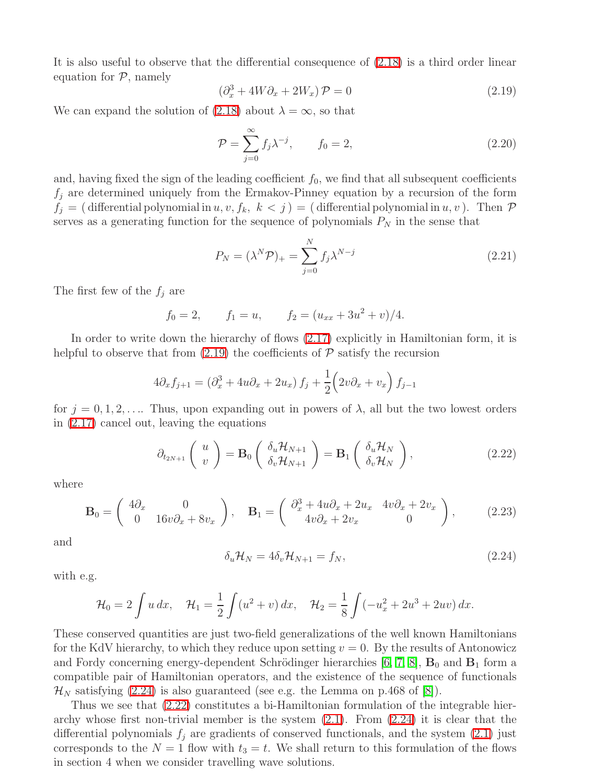<span id="page-5-0"></span>It is also useful to observe that the differential consequence of [\(2.18\)](#page-4-3) is a third order linear equation for  $P$ , namely

$$
\left(\partial_x^3 + 4W\partial_x + 2W_x\right)\mathcal{P} = 0\tag{2.19}
$$

We can expand the solution of [\(2.18\)](#page-4-3) about  $\lambda = \infty$ , so that

$$
\mathcal{P} = \sum_{j=0}^{\infty} f_j \lambda^{-j}, \qquad f_0 = 2,
$$
\n(2.20)

and, having fixed the sign of the leading coefficient  $f_0$ , we find that all subsequent coefficients  $f_j$  are determined uniquely from the Ermakov-Pinney equation by a recursion of the form  $f_j = ($  differential polynomial in  $u, v, f_k, k < j$   $) = ($  differential polynomial in  $u, v$  ). Then  $\mathcal P$ serves as a generating function for the sequence of polynomials  $P<sub>N</sub>$  in the sense that

$$
P_N = (\lambda^N \mathcal{P})_+ = \sum_{j=0}^N f_j \lambda^{N-j} \tag{2.21}
$$

The first few of the  $f_i$  are

 $f_0 = 2,$   $f_1 = u,$   $f_2 = (u_{xx} + 3u^2 + v)/4.$ 

In order to write down the hierarchy of flows [\(2.17\)](#page-4-2) explicitly in Hamiltonian form, it is helpful to observe that from  $(2.19)$  the coefficients of  $P$  satisfy the recursion

<span id="page-5-2"></span>
$$
4\partial_x f_{j+1} = \left(\partial_x^3 + 4u\partial_x + 2u_x\right)f_j + \frac{1}{2}\left(2v\partial_x + v_x\right)f_{j-1}
$$

for  $j = 0, 1, 2, \ldots$ . Thus, upon expanding out in powers of  $\lambda$ , all but the two lowest orders in [\(2.17\)](#page-4-2) cancel out, leaving the equations

$$
\partial_{t_{2N+1}}\left(\begin{array}{c}u\\v\end{array}\right)=\mathbf{B}_0\left(\begin{array}{c}\delta_u\mathcal{H}_{N+1}\\ \delta_v\mathcal{H}_{N+1}\end{array}\right)=\mathbf{B}_1\left(\begin{array}{c}\delta_u\mathcal{H}_N\\ \delta_v\mathcal{H}_N\end{array}\right),\tag{2.22}
$$

where

$$
\mathbf{B}_0 = \begin{pmatrix} 4\partial_x & 0 \\ 0 & 16v\partial_x + 8v_x \end{pmatrix}, \quad \mathbf{B}_1 = \begin{pmatrix} \partial_x^3 + 4u\partial_x + 2u_x & 4v\partial_x + 2v_x \\ 4v\partial_x + 2v_x & 0 \end{pmatrix}, \tag{2.23}
$$

<span id="page-5-1"></span>and

$$
\delta_u \mathcal{H}_N = 4 \delta_v \mathcal{H}_{N+1} = f_N, \tag{2.24}
$$

with e.g.

$$
\mathcal{H}_0 = 2 \int u \, dx, \quad \mathcal{H}_1 = \frac{1}{2} \int (u^2 + v) \, dx, \quad \mathcal{H}_2 = \frac{1}{8} \int (-u_x^2 + 2u^3 + 2uv) \, dx.
$$

These conserved quantities are just two-field generalizations of the well known Hamiltonians for the KdV hierarchy, to which they reduce upon setting  $v = 0$ . By the results of Antonowicz and Fordy concerning energy-dependent Schrödinger hierarchies [\[6,](#page-19-4) [7,](#page-19-0) [8\]](#page-19-1),  $\mathbf{B}_0$  and  $\mathbf{B}_1$  form a compatible pair of Hamiltonian operators, and the existence of the sequence of functionals  $\mathcal{H}_N$  satisfying [\(2.24\)](#page-5-1) is also guaranteed (see e.g. the Lemma on p.468 of [\[8\]](#page-19-1)).

Thus we see that [\(2.22\)](#page-5-2) constitutes a bi-Hamiltonian formulation of the integrable hierarchy whose first non-trivial member is the system  $(2.1)$ . From  $(2.24)$  it is clear that the differential polynomials  $f_i$  are gradients of conserved functionals, and the system [\(2.1\)](#page-2-0) just corresponds to the  $N = 1$  flow with  $t_3 = t$ . We shall return to this formulation of the flows in section 4 when we consider travelling wave solutions.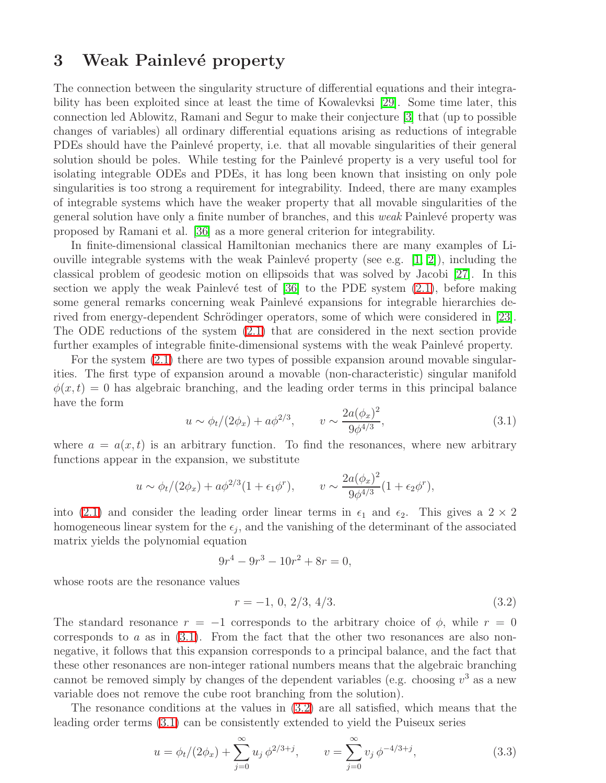#### 3 Weak Painlevé property

The connection between the singularity structure of differential equations and their integrability has been exploited since at least the time of Kowalevksi [\[29\]](#page-20-9). Some time later, this connection led Ablowitz, Ramani and Segur to make their conjecture [\[3\]](#page-19-6) that (up to possible changes of variables) all ordinary differential equations arising as reductions of integrable PDEs should have the Painlevé property, i.e. that all movable singularities of their general solution should be poles. While testing for the Painlevé property is a very useful tool for isolating integrable ODEs and PDEs, it has long been known that insisting on only pole singularities is too strong a requirement for integrability. Indeed, there are many examples of integrable systems which have the weaker property that all movable singularities of the general solution have only a finite number of branches, and this *weak* Painlevé property was proposed by Ramani et al. [\[36\]](#page-20-10) as a more general criterion for integrability.

In finite-dimensional classical Hamiltonian mechanics there are many examples of Liouville integrable systems with the weak Painlevé property (see e.g.  $[1, 2]$  $[1, 2]$ ), including the classical problem of geodesic motion on ellipsoids that was solved by Jacobi [\[27\]](#page-20-11). In this section we apply the weak Painlevé test of  $[36]$  to the PDE system  $(2.1)$ , before making some general remarks concerning weak Painlevé expansions for integrable hierarchies de-rived from energy-dependent Schrödinger operators, some of which were considered in [\[23\]](#page-20-12). The ODE reductions of the system [\(2.1\)](#page-2-0) that are considered in the next section provide further examples of integrable finite-dimensional systems with the weak Painlevé property.

<span id="page-6-0"></span>For the system  $(2.1)$  there are two types of possible expansion around movable singularities. The first type of expansion around a movable (non-characteristic) singular manifold  $\phi(x, t) = 0$  has algebraic branching, and the leading order terms in this principal balance have the form

$$
u \sim \phi_t/(2\phi_x) + a\phi^{2/3}, \qquad v \sim \frac{2a(\phi_x)^2}{9\phi^{4/3}},
$$
\n(3.1)

where  $a = a(x, t)$  is an arbitrary function. To find the resonances, where new arbitrary functions appear in the expansion, we substitute

$$
u \sim \phi_t/(2\phi_x) + a\phi^{2/3}(1 + \epsilon_1\phi^r), \qquad v \sim \frac{2a(\phi_x)^2}{9\phi^{4/3}}(1 + \epsilon_2\phi^r),
$$

into [\(2.1\)](#page-2-0) and consider the leading order linear terms in  $\epsilon_1$  and  $\epsilon_2$ . This gives a  $2 \times 2$ homogeneous linear system for the  $\epsilon_j$ , and the vanishing of the determinant of the associated matrix yields the polynomial equation

<span id="page-6-1"></span>
$$
9r^4 - 9r^3 - 10r^2 + 8r = 0,
$$

whose roots are the resonance values

$$
r = -1, \, 0, \, 2/3, \, 4/3. \tag{3.2}
$$

The standard resonance  $r = -1$  corresponds to the arbitrary choice of  $\phi$ , while  $r = 0$ corresponds to a as in  $(3.1)$ . From the fact that the other two resonances are also nonnegative, it follows that this expansion corresponds to a principal balance, and the fact that these other resonances are non-integer rational numbers means that the algebraic branching cannot be removed simply by changes of the dependent variables (e.g. choosing  $v^3$  as a new variable does not remove the cube root branching from the solution).

The resonance conditions at the values in [\(3.2\)](#page-6-1) are all satisfied, which means that the leading order terms [\(3.1\)](#page-6-0) can be consistently extended to yield the Puiseux series

$$
u = \phi_t/(2\phi_x) + \sum_{j=0}^{\infty} u_j \, \phi^{2/3+j}, \qquad v = \sum_{j=0}^{\infty} v_j \, \phi^{-4/3+j}, \tag{3.3}
$$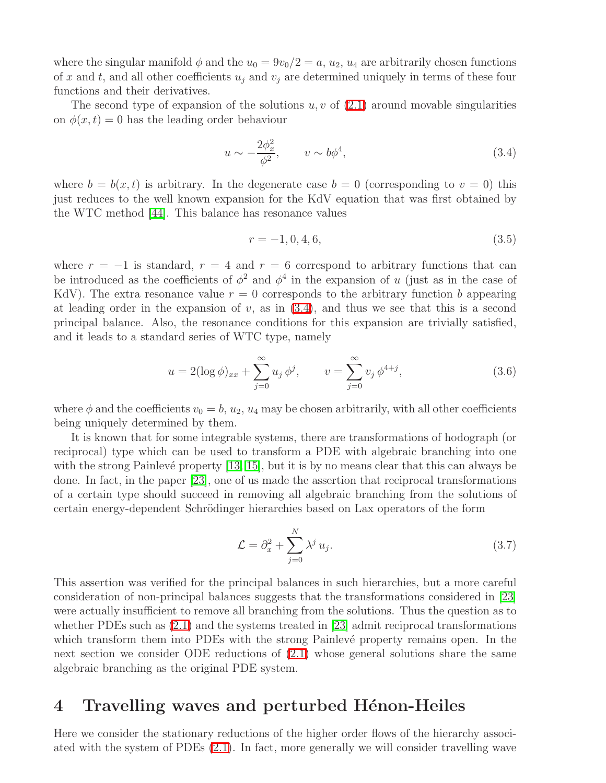where the singular manifold  $\phi$  and the  $u_0 = 9v_0/2 = a$ ,  $u_2$ ,  $u_4$  are arbitrarily chosen functions of x and t, and all other coefficients  $u_i$  and  $v_j$  are determined uniquely in terms of these four functions and their derivatives.

The second type of expansion of the solutions  $u, v$  of  $(2.1)$  around movable singularities on  $\phi(x, t) = 0$  has the leading order behaviour

<span id="page-7-0"></span>
$$
u \sim -\frac{2\phi_x^2}{\phi^2}, \qquad v \sim b\phi^4,\tag{3.4}
$$

where  $b = b(x, t)$  is arbitrary. In the degenerate case  $b = 0$  (corresponding to  $v = 0$ ) this just reduces to the well known expansion for the KdV equation that was first obtained by the WTC method [\[44\]](#page-20-13). This balance has resonance values

$$
r = -1, 0, 4, 6,\tag{3.5}
$$

where  $r = -1$  is standard,  $r = 4$  and  $r = 6$  correspond to arbitrary functions that can be introduced as the coefficients of  $\phi^2$  and  $\phi^4$  in the expansion of u (just as in the case of KdV). The extra resonance value  $r = 0$  corresponds to the arbitrary function b appearing at leading order in the expansion of  $v$ , as in  $(3.4)$ , and thus we see that this is a second principal balance. Also, the resonance conditions for this expansion are trivially satisfied, and it leads to a standard series of WTC type, namely

$$
u = 2(\log \phi)_{xx} + \sum_{j=0}^{\infty} u_j \phi^j, \qquad v = \sum_{j=0}^{\infty} v_j \phi^{4+j}, \qquad (3.6)
$$

where  $\phi$  and the coefficients  $v_0 = b$ ,  $u_2$ ,  $u_4$  may be chosen arbitrarily, with all other coefficients being uniquely determined by them.

It is known that for some integrable systems, there are transformations of hodograph (or reciprocal) type which can be used to transform a PDE with algebraic branching into one with the strong Painlevé property  $[13, 15]$  $[13, 15]$ , but it is by no means clear that this can always be done. In fact, in the paper [\[23\]](#page-20-12), one of us made the assertion that reciprocal transformations of a certain type should succeed in removing all algebraic branching from the solutions of certain energy-dependent Schrödinger hierarchies based on Lax operators of the form

$$
\mathcal{L} = \partial_x^2 + \sum_{j=0}^N \lambda^j u_j.
$$
\n(3.7)

This assertion was verified for the principal balances in such hierarchies, but a more careful consideration of non-principal balances suggests that the transformations considered in [\[23\]](#page-20-12) were actually insufficient to remove all branching from the solutions. Thus the question as to whether PDEs such as [\(2.1\)](#page-2-0) and the systems treated in [\[23\]](#page-20-12) admit reciprocal transformations which transform them into PDEs with the strong Painlevé property remains open. In the next section we consider ODE reductions of [\(2.1\)](#page-2-0) whose general solutions share the same algebraic branching as the original PDE system.

#### 4 Travelling waves and perturbed Hénon-Heiles

Here we consider the stationary reductions of the higher order flows of the hierarchy associated with the system of PDEs [\(2.1\)](#page-2-0). In fact, more generally we will consider travelling wave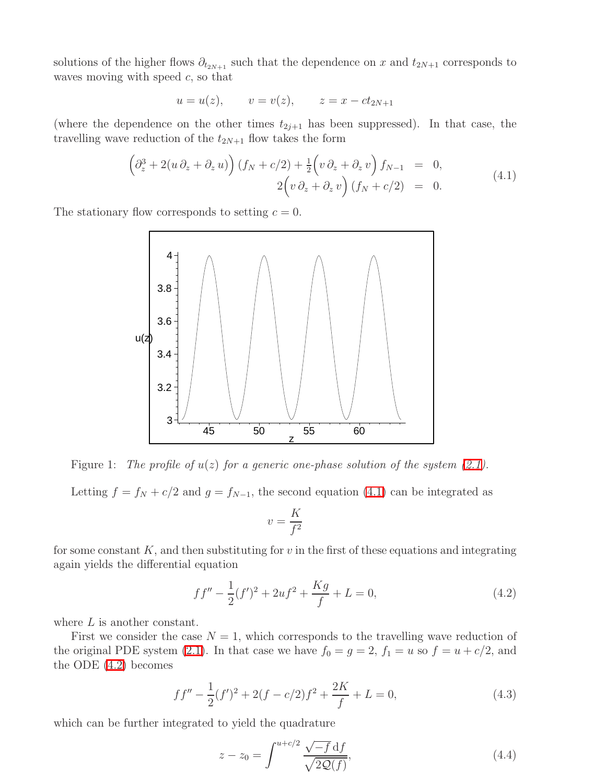solutions of the higher flows  $\partial_{t_{2N+1}}$  such that the dependence on x and  $t_{2N+1}$  corresponds to waves moving with speed  $c$ , so that

<span id="page-8-0"></span>
$$
u = u(z)
$$
,  $v = v(z)$ ,  $z = x - ct_{2N+1}$ 

(where the dependence on the other times  $t_{2j+1}$  has been suppressed). In that case, the travelling wave reduction of the  $t_{2N+1}$  flow takes the form

$$
\left(\partial_z^3 + 2(u\,\partial_z + \partial_z u)\right)(f_N + c/2) + \frac{1}{2}\left(v\,\partial_z + \partial_z v\right)f_{N-1} = 0,
$$
  
\n
$$
2\left(v\,\partial_z + \partial_z v\right)(f_N + c/2) = 0.
$$
\n(4.1)

The stationary flow corresponds to setting  $c = 0$ .



<span id="page-8-4"></span>Figure 1: The profile of  $u(z)$  for a generic one-phase solution of the system [\(2.1\)](#page-2-0).

Letting  $f = f_N + c/2$  and  $g = f_{N-1}$ , the second equation [\(4.1\)](#page-8-0) can be integrated as

$$
v = \frac{K}{f^2}
$$

for some constant  $K$ , and then substituting for  $v$  in the first of these equations and integrating again yields the differential equation

<span id="page-8-1"></span>
$$
ff'' - \frac{1}{2}(f')^2 + 2uf^2 + \frac{Kg}{f} + L = 0,
$$
\n(4.2)

where  $L$  is another constant.

<span id="page-8-3"></span>First we consider the case  $N = 1$ , which corresponds to the travelling wave reduction of the original PDE system [\(2.1\)](#page-2-0). In that case we have  $f_0 = g = 2$ ,  $f_1 = u$  so  $f = u + c/2$ , and the ODE [\(4.2\)](#page-8-1) becomes

$$
ff'' - \frac{1}{2}(f')^{2} + 2(f - c/2)f^{2} + \frac{2K}{f} + L = 0,
$$
\n(4.3)

which can be further integrated to yield the quadrature

<span id="page-8-2"></span>
$$
z - z_0 = \int^{u+c/2} \frac{\sqrt{-f} \, df}{\sqrt{2Q(f)}},\tag{4.4}
$$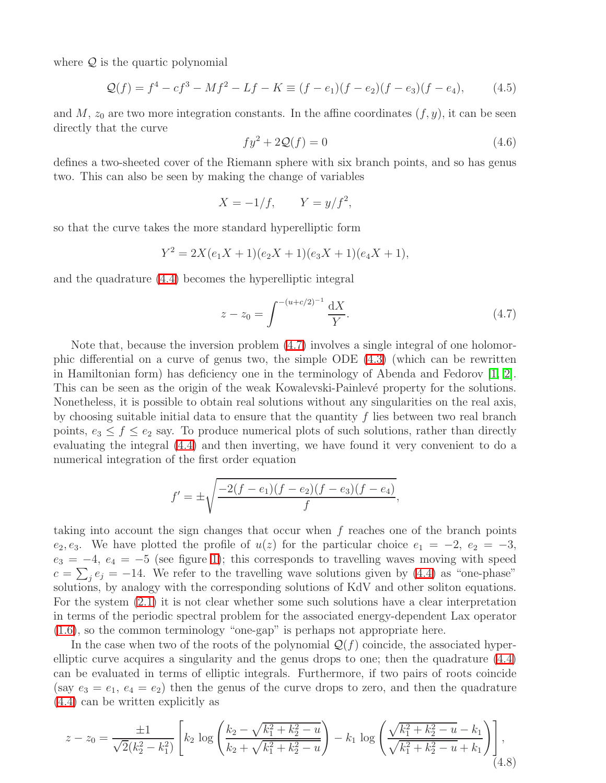where  $Q$  is the quartic polynomial

$$
\mathcal{Q}(f) = f^4 - cf^3 - Mf^2 - Lf - K \equiv (f - e_1)(f - e_2)(f - e_3)(f - e_4), \tag{4.5}
$$

and  $M$ ,  $z_0$  are two more integration constants. In the affine coordinates  $(f, y)$ , it can be seen directly that the curve

$$
fy^2 + 2Q(f) = 0\tag{4.6}
$$

defines a two-sheeted cover of the Riemann sphere with six branch points, and so has genus two. This can also be seen by making the change of variables

$$
X = -1/f, \qquad Y = y/f^2,
$$

so that the curve takes the more standard hyperelliptic form

$$
Y^2 = 2X(e_1X + 1)(e_2X + 1)(e_3X + 1)(e_4X + 1),
$$

and the quadrature [\(4.4\)](#page-8-2) becomes the hyperelliptic integral

<span id="page-9-0"></span>
$$
z - z_0 = \int^{-(u+c/2)^{-1}} \frac{\mathrm{d}X}{Y}.\tag{4.7}
$$

Note that, because the inversion problem [\(4.7\)](#page-9-0) involves a single integral of one holomorphic differential on a curve of genus two, the simple ODE [\(4.3\)](#page-8-3) (which can be rewritten in Hamiltonian form) has deficiency one in the terminology of Abenda and Fedorov [\[1,](#page-19-7) [2\]](#page-19-8). This can be seen as the origin of the weak Kowalevski-Painlevé property for the solutions. Nonetheless, it is possible to obtain real solutions without any singularities on the real axis, by choosing suitable initial data to ensure that the quantity  $f$  lies between two real branch points,  $e_3 \leq f \leq e_2$  say. To produce numerical plots of such solutions, rather than directly evaluating the integral [\(4.4\)](#page-8-2) and then inverting, we have found it very convenient to do a numerical integration of the first order equation

$$
f' = \pm \sqrt{\frac{-2(f - e_1)(f - e_2)(f - e_3)(f - e_4)}{f}},
$$

taking into account the sign changes that occur when f reaches one of the branch points e<sub>2</sub>, e<sub>3</sub>. We have plotted the profile of  $u(z)$  for the particular choice  $e_1 = -2$ ,  $e_2 = -3$ ,  $e_3 = -4, e_4 = -5$  (see figure [1\)](#page-8-4); this corresponds to travelling waves moving with speed  $c = \sum_j e_j = -14$ . We refer to the travelling wave solutions given by [\(4.4\)](#page-8-2) as "one-phase" solutions, by analogy with the corresponding solutions of KdV and other soliton equations. For the system [\(2.1\)](#page-2-0) it is not clear whether some such solutions have a clear interpretation in terms of the periodic spectral problem for the associated energy-dependent Lax operator [\(1.6\)](#page-1-3), so the common terminology "one-gap" is perhaps not appropriate here.

In the case when two of the roots of the polynomial  $\mathcal{Q}(f)$  coincide, the associated hyperelliptic curve acquires a singularity and the genus drops to one; then the quadrature [\(4.4\)](#page-8-2) can be evaluated in terms of elliptic integrals. Furthermore, if two pairs of roots coincide (say  $e_3 = e_1, e_4 = e_2$ ) then the genus of the curve drops to zero, and then the quadrature [\(4.4\)](#page-8-2) can be written explicitly as

$$
z - z_0 = \frac{\pm 1}{\sqrt{2}(k_2^2 - k_1^2)} \left[ k_2 \log \left( \frac{k_2 - \sqrt{k_1^2 + k_2^2 - u}}{k_2 + \sqrt{k_1^2 + k_2^2 - u}} \right) - k_1 \log \left( \frac{\sqrt{k_1^2 + k_2^2 - u} - k_1}{\sqrt{k_1^2 + k_2^2 - u} + k_1} \right) \right],
$$
\n(4.8)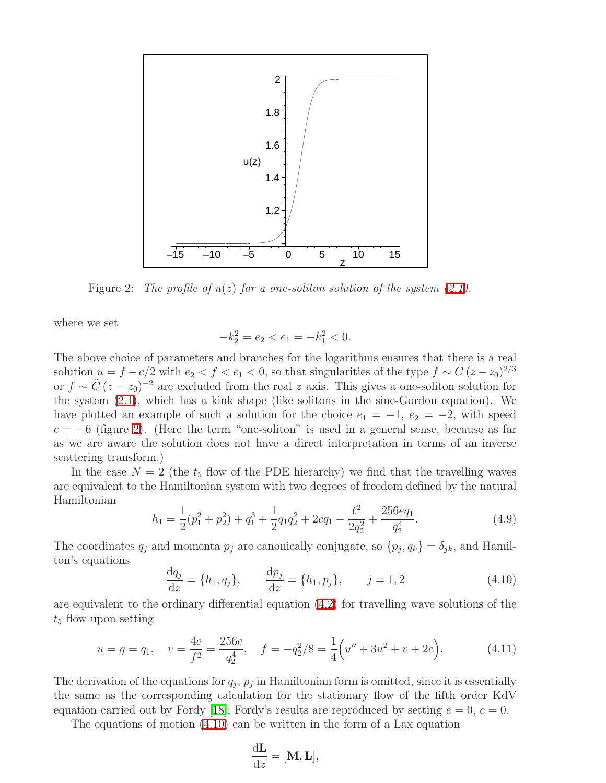

<span id="page-10-0"></span>Figure 2: The profile of  $u(z)$  for a one-soliton solution of the system [\(2.1\)](#page-2-0).

where we set

$$
-k_2^2 = e_2 < e_1 = -k_1^2 < 0.
$$

The above choice of parameters and branches for the logarithms ensures that there is a real solution  $u = f - c/2$  with  $e_2 < f < e_1 < 0$ , so that singularities of the type  $f \sim C (z - z_0)^{2/3}$ or  $f \sim \tilde{C} (z - z_0)^{-2}$  are excluded from the real z axis. This gives a one-soliton solution for the system [\(2.1\)](#page-2-0), which has a kink shape (like solitons in the sine-Gordon equation). We have plotted an example of such a solution for the choice  $e_1 = -1, e_2 = -2$ , with speed  $c = -6$  (figure [2\)](#page-10-0). (Here the term "one-soliton" is used in a general sense, because as far as we are aware the solution does not have a direct interpretation in terms of an inverse scattering transform.)

<span id="page-10-3"></span>In the case  $N = 2$  (the  $t_5$  flow of the PDE hierarchy) we find that the travelling waves are equivalent to the Hamiltonian system with two degrees of freedom defined by the natural Hamiltonian

$$
h_1 = \frac{1}{2}(p_1^2 + p_2^2) + q_1^3 + \frac{1}{2}q_1q_2^2 + 2cq_1 - \frac{\ell^2}{2q_2^2} + \frac{256eq_1}{q_2^4}.
$$
 (4.9)

<span id="page-10-1"></span>The coordinates  $q_j$  and momenta  $p_j$  are canonically conjugate, so  $\{p_j, q_k\} = \delta_{jk}$ , and Hamilton's equations

$$
\frac{dq_j}{dz} = \{h_1, q_j\}, \qquad \frac{dp_j}{dz} = \{h_1, p_j\}, \qquad j = 1, 2
$$
\n(4.10)

<span id="page-10-2"></span>are equivalent to the ordinary differential equation [\(4.2\)](#page-8-1) for travelling wave solutions of the  $t_5$  flow upon setting

$$
u = g = q_1, \quad v = \frac{4e}{f^2} = \frac{256e}{q_2^4}, \quad f = -q_2^2/8 = \frac{1}{4}\left(u'' + 3u^2 + v + 2c\right).
$$
 (4.11)

The derivation of the equations for  $q_j$ ,  $p_j$  in Hamiltonian form is omitted, since it is essentially the same as the corresponding calculation for the stationary flow of the fifth order KdV equation carried out by Fordy [\[18\]](#page-19-2); Fordy's results are reproduced by setting  $e = 0$ ,  $c = 0$ .

The equations of motion [\(4.10\)](#page-10-1) can be written in the form of a Lax equation

$$
\frac{\mathrm{d} \mathbf{L}}{\mathrm{d} z} = [\mathbf{M}, \mathbf{L}],
$$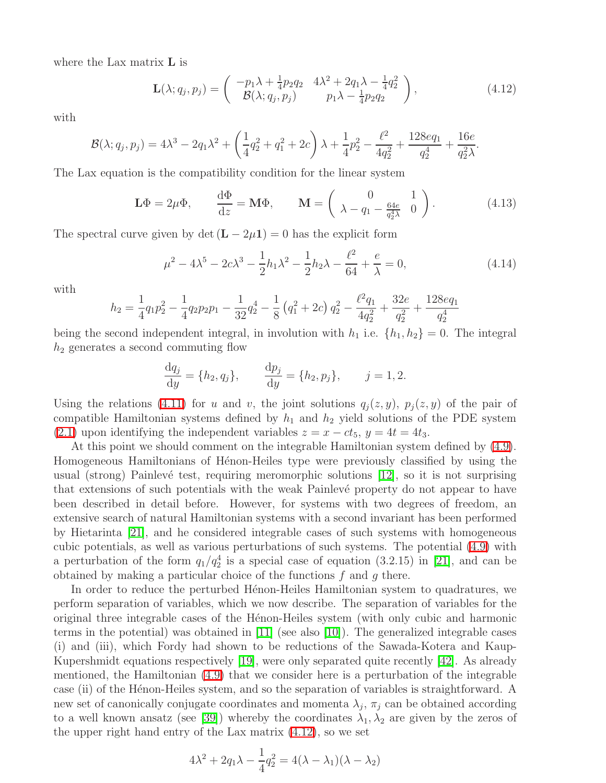where the Lax matrix L is

<span id="page-11-0"></span>
$$
\mathbf{L}(\lambda; q_j, p_j) = \begin{pmatrix} -p_1 \lambda + \frac{1}{4} p_2 q_2 & 4\lambda^2 + 2q_1 \lambda - \frac{1}{4} q_2^2 \\ \mathcal{B}(\lambda; q_j, p_j) & p_1 \lambda - \frac{1}{4} p_2 q_2 \end{pmatrix},
$$
(4.12)

with

$$
\mathcal{B}(\lambda; q_j, p_j) = 4\lambda^3 - 2q_1\lambda^2 + \left(\frac{1}{4}q_2^2 + q_1^2 + 2c\right)\lambda + \frac{1}{4}p_2^2 - \frac{\ell^2}{4q_2^2} + \frac{128eq_1}{q_2^4} + \frac{16e}{q_2^2\lambda}.
$$

The Lax equation is the compatibility condition for the linear system

$$
\mathbf{L}\Phi = 2\mu\Phi, \qquad \frac{\mathrm{d}\Phi}{\mathrm{d}z} = \mathbf{M}\Phi, \qquad \mathbf{M} = \begin{pmatrix} 0 & 1\\ \lambda - q_1 - \frac{64e}{q_2^4\lambda} & 0 \end{pmatrix}.
$$
 (4.13)

The spectral curve given by det  $(L - 2\mu 1) = 0$  has the explicit form

<span id="page-11-1"></span>
$$
\mu^2 - 4\lambda^5 - 2c\lambda^3 - \frac{1}{2}h_1\lambda^2 - \frac{1}{2}h_2\lambda - \frac{\ell^2}{64} + \frac{e}{\lambda} = 0,\tag{4.14}
$$

with

$$
h_2 = \frac{1}{4}q_1p_2^2 - \frac{1}{4}q_2p_2p_1 - \frac{1}{32}q_2^4 - \frac{1}{8}(q_1^2 + 2c) q_2^2 - \frac{\ell^2 q_1}{4q_2^2} + \frac{32e}{q_2^2} + \frac{128e q_1}{q_2^4}
$$

being the second independent integral, in involution with  $h_1$  i.e.  $\{h_1, h_2\} = 0$ . The integral  $h_2$  generates a second commuting flow

$$
\frac{dq_j}{dy} = \{h_2, q_j\}, \qquad \frac{dp_j}{dy} = \{h_2, p_j\}, \qquad j = 1, 2.
$$

Using the relations [\(4.11\)](#page-10-2) for u and v, the joint solutions  $q_i(z, y)$ ,  $p_i(z, y)$  of the pair of compatible Hamiltonian systems defined by  $h_1$  and  $h_2$  yield solutions of the PDE system [\(2.1\)](#page-2-0) upon identifying the independent variables  $z = x - ct_5$ ,  $y = 4t = 4t_3$ .

At this point we should comment on the integrable Hamiltonian system defined by [\(4.9\)](#page-10-3). Homogeneous Hamiltonians of Hénon-Heiles type were previously classified by using the usual (strong) Painlevé test, requiring meromorphic solutions  $[12]$ , so it is not surprising that extensions of such potentials with the weak Painlevé property do not appear to have been described in detail before. However, for systems with two degrees of freedom, an extensive search of natural Hamiltonian systems with a second invariant has been performed by Hietarinta [\[21\]](#page-19-12), and he considered integrable cases of such systems with homogeneous cubic potentials, as well as various perturbations of such systems. The potential [\(4.9\)](#page-10-3) with a perturbation of the form  $q_1/q_2^4$  is a special case of equation (3.2.15) in [\[21\]](#page-19-12), and can be obtained by making a particular choice of the functions  $f$  and  $g$  there.

In order to reduce the perturbed Henon-Heiles Hamiltonian system to quadratures, we perform separation of variables, which we now describe. The separation of variables for the original three integrable cases of the H´enon-Heiles system (with only cubic and harmonic terms in the potential) was obtained in  $[11]$  (see also  $[10]$ ). The generalized integrable cases (i) and (iii), which Fordy had shown to be reductions of the Sawada-Kotera and Kaup-Kupershmidt equations respectively [\[19\]](#page-19-3), were only separated quite recently [\[42\]](#page-20-14). As already mentioned, the Hamiltonian [\(4.9\)](#page-10-3) that we consider here is a perturbation of the integrable case (ii) of the Hénon-Heiles system, and so the separation of variables is straightforward. A new set of canonically conjugate coordinates and momenta  $\lambda_j$ ,  $\pi_j$  can be obtained according to a well known ansatz (see [\[39\]](#page-20-15)) whereby the coordinates  $\lambda_1, \lambda_2$  are given by the zeros of the upper right hand entry of the Lax matrix [\(4.12\)](#page-11-0), so we set

$$
4\lambda^2 + 2q_1\lambda - \frac{1}{4}q_2^2 = 4(\lambda - \lambda_1)(\lambda - \lambda_2)
$$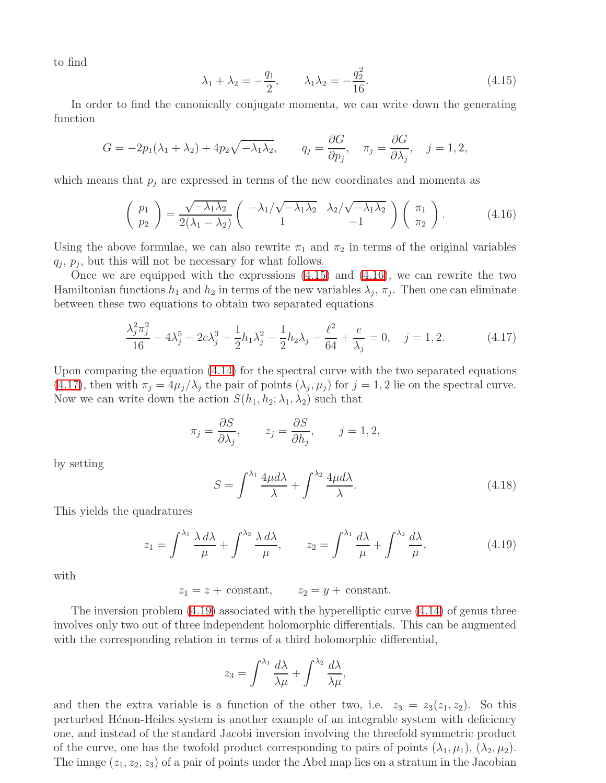<span id="page-12-0"></span>to find

<span id="page-12-1"></span>
$$
\lambda_1 + \lambda_2 = -\frac{q_1}{2}, \qquad \lambda_1 \lambda_2 = -\frac{q_2^2}{16}.
$$
\n(4.15)

In order to find the canonically conjugate momenta, we can write down the generating function

$$
G = -2p_1(\lambda_1 + \lambda_2) + 4p_2\sqrt{-\lambda_1\lambda_2}, \qquad q_j = \frac{\partial G}{\partial p_j}, \quad \pi_j = \frac{\partial G}{\partial \lambda_j}, \quad j = 1, 2,
$$

which means that  $p_i$  are expressed in terms of the new coordinates and momenta as

$$
\begin{pmatrix} p_1 \\ p_2 \end{pmatrix} = \frac{\sqrt{-\lambda_1 \lambda_2}}{2(\lambda_1 - \lambda_2)} \begin{pmatrix} -\lambda_1/\sqrt{-\lambda_1 \lambda_2} & \lambda_2/\sqrt{-\lambda_1 \lambda_2} \\ 1 & -1 \end{pmatrix} \begin{pmatrix} \pi_1 \\ \pi_2 \end{pmatrix}.
$$
 (4.16)

Using the above formulae, we can also rewrite  $\pi_1$  and  $\pi_2$  in terms of the original variables  $q_j$ ,  $p_j$ , but this will not be necessary for what follows.

Once we are equipped with the expressions  $(4.15)$  and  $(4.16)$ , we can rewrite the two Hamiltonian functions  $h_1$  and  $h_2$  in terms of the new variables  $\lambda_j$ ,  $\pi_j$ . Then one can eliminate between these two equations to obtain two separated equations

$$
\frac{\lambda_j^2 \pi_j^2}{16} - 4\lambda_j^5 - 2c\lambda_j^3 - \frac{1}{2}h_1\lambda_j^2 - \frac{1}{2}h_2\lambda_j - \frac{\ell^2}{64} + \frac{e}{\lambda_j} = 0, \quad j = 1, 2.
$$
 (4.17)

Upon comparing the equation [\(4.14\)](#page-11-1) for the spectral curve with the two separated equations [\(4.17\)](#page-12-2), then with  $\pi_j = 4\mu_j/\lambda_j$  the pair of points  $(\lambda_j, \mu_j)$  for  $j = 1, 2$  lie on the spectral curve. Now we can write down the action  $S(h_1, h_2; \lambda_1, \lambda_2)$  such that

<span id="page-12-2"></span>
$$
\pi_j = \frac{\partial S}{\partial \lambda_j}, \qquad z_j = \frac{\partial S}{\partial h_j}, \qquad j = 1, 2,
$$

by setting

$$
S = \int^{\lambda_1} \frac{4\mu d\lambda}{\lambda} + \int^{\lambda_2} \frac{4\mu d\lambda}{\lambda}.
$$
 (4.18)

This yields the quadratures

<span id="page-12-3"></span>
$$
z_1 = \int^{\lambda_1} \frac{\lambda \, d\lambda}{\mu} + \int^{\lambda_2} \frac{\lambda \, d\lambda}{\mu}, \qquad z_2 = \int^{\lambda_1} \frac{d\lambda}{\mu} + \int^{\lambda_2} \frac{d\lambda}{\mu}, \tag{4.19}
$$

with

 $z_1 = z + constant$ ,  $z_2 = y + constant$ .

The inversion problem [\(4.19\)](#page-12-3) associated with the hyperelliptic curve [\(4.14\)](#page-11-1) of genus three involves only two out of three independent holomorphic differentials. This can be augmented with the corresponding relation in terms of a third holomorphic differential,

$$
z_3 = \int^{\lambda_1} \frac{d\lambda}{\lambda \mu} + \int^{\lambda_2} \frac{d\lambda}{\lambda \mu},
$$

and then the extra variable is a function of the other two, i.e.  $z_3 = z_3(z_1, z_2)$ . So this perturbed Hénon-Heiles system is another example of an integrable system with deficiency one, and instead of the standard Jacobi inversion involving the threefold symmetric product of the curve, one has the twofold product corresponding to pairs of points  $(\lambda_1, \mu_1), (\lambda_2, \mu_2)$ . The image  $(z_1, z_2, z_3)$  of a pair of points under the Abel map lies on a stratum in the Jacobian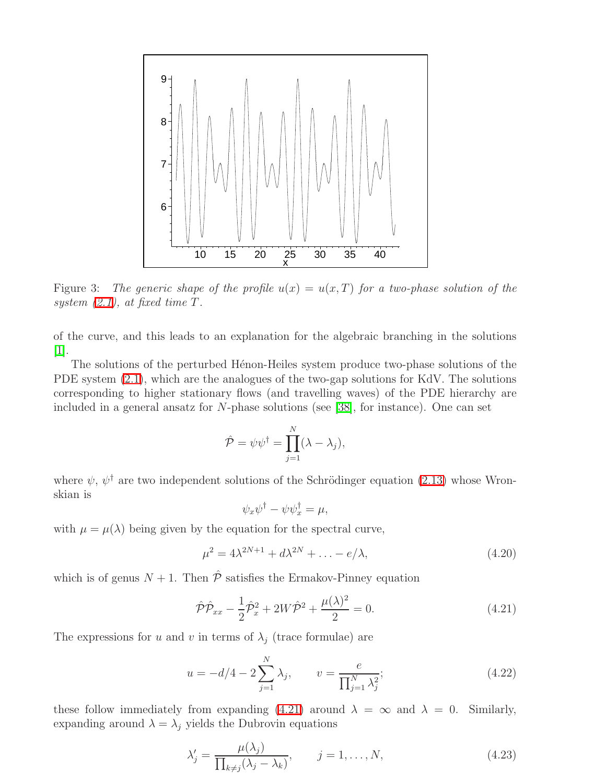

<span id="page-13-3"></span>Figure 3: The generic shape of the profile  $u(x) = u(x,T)$  for a two-phase solution of the system  $(2.1)$ , at fixed time T.

of the curve, and this leads to an explanation for the algebraic branching in the solutions [\[1\]](#page-19-7).

The solutions of the perturbed Henon-Heiles system produce two-phase solutions of the PDE system [\(2.1\)](#page-2-0), which are the analogues of the two-gap solutions for KdV. The solutions corresponding to higher stationary flows (and travelling waves) of the PDE hierarchy are included in a general ansatz for N-phase solutions (see [\[38\]](#page-20-6), for instance). One can set

$$
\hat{\mathcal{P}} = \psi \psi^{\dagger} = \prod_{j=1}^{N} (\lambda - \lambda_j),
$$

where  $\psi, \psi^{\dagger}$  are two independent solutions of the Schrödinger equation [\(2.13\)](#page-4-0) whose Wronskian is

<span id="page-13-1"></span><span id="page-13-0"></span>
$$
\psi_x \psi^{\dagger} - \psi \psi_x^{\dagger} = \mu,
$$

with  $\mu = \mu(\lambda)$  being given by the equation for the spectral curve,

$$
\mu^2 = 4\lambda^{2N+1} + d\lambda^{2N} + \ldots - e/\lambda,
$$
\n(4.20)

which is of genus  $N + 1$ . Then  $\hat{\mathcal{P}}$  satisfies the Ermakov-Pinney equation

$$
\hat{\mathcal{P}}\hat{\mathcal{P}}_{xx} - \frac{1}{2}\hat{\mathcal{P}}_x^2 + 2W\hat{\mathcal{P}}^2 + \frac{\mu(\lambda)^2}{2} = 0.
$$
\n(4.21)

The expressions for u and v in terms of  $\lambda_i$  (trace formulae) are

$$
u = -d/4 - 2\sum_{j=1}^{N} \lambda_j, \qquad v = \frac{e}{\prod_{j=1}^{N} \lambda_j^2};
$$
\n(4.22)

these follow immediately from expanding [\(4.21\)](#page-13-0) around  $\lambda = \infty$  and  $\lambda = 0$ . Similarly, expanding around  $\lambda = \lambda_j$  yields the Dubrovin equations

<span id="page-13-2"></span>
$$
\lambda'_j = \frac{\mu(\lambda_j)}{\prod_{k \neq j} (\lambda_j - \lambda_k)}, \qquad j = 1, \dots, N,
$$
\n(4.23)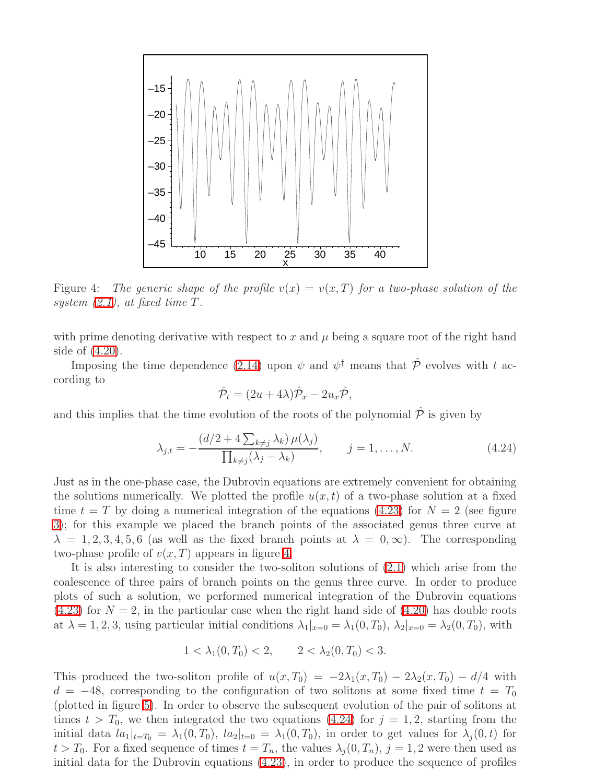

<span id="page-14-0"></span>Figure 4: The generic shape of the profile  $v(x) = v(x,T)$  for a two-phase solution of the system [\(2.1\)](#page-2-0), at fixed time T.

with prime denoting derivative with respect to x and  $\mu$  being a square root of the right hand side of [\(4.20\)](#page-13-1).

Imposing the time dependence [\(2.14\)](#page-4-4) upon  $\psi$  and  $\psi^{\dagger}$  means that  $\hat{\mathcal{P}}$  evolves with t according to

<span id="page-14-1"></span>
$$
\hat{\mathcal{P}}_t = (2u + 4\lambda)\hat{\mathcal{P}}_x - 2u_x\hat{\mathcal{P}},
$$

and this implies that the time evolution of the roots of the polynomial  $\hat{\mathcal{P}}$  is given by

$$
\lambda_{j,t} = -\frac{\left(d/2 + 4\sum_{k\neq j}\lambda_k\right)\mu(\lambda_j)}{\prod_{k\neq j}(\lambda_j - \lambda_k)}, \qquad j = 1, \dots, N. \tag{4.24}
$$

Just as in the one-phase case, the Dubrovin equations are extremely convenient for obtaining the solutions numerically. We plotted the profile  $u(x, t)$  of a two-phase solution at a fixed time  $t = T$  by doing a numerical integration of the equations [\(4.23\)](#page-13-2) for  $N = 2$  (see figure [3\)](#page-13-3); for this example we placed the branch points of the associated genus three curve at  $\lambda = 1, 2, 3, 4, 5, 6$  (as well as the fixed branch points at  $\lambda = 0, \infty$ ). The corresponding two-phase profile of  $v(x, T)$  appears in figure [4.](#page-14-0)

It is also interesting to consider the two-soliton solutions of [\(2.1\)](#page-2-0) which arise from the coalescence of three pairs of branch points on the genus three curve. In order to produce plots of such a solution, we performed numerical integration of the Dubrovin equations  $(4.23)$  for  $N = 2$ , in the particular case when the right hand side of  $(4.20)$  has double roots at  $\lambda = 1, 2, 3$ , using particular initial conditions  $\lambda_1|_{x=0} = \lambda_1(0, T_0)$ ,  $\lambda_2|_{x=0} = \lambda_2(0, T_0)$ , with

$$
1 < \lambda_1(0, T_0) < 2, \qquad 2 < \lambda_2(0, T_0) < 3.
$$

This produced the two-soliton profile of  $u(x,T_0) = -2\lambda_1(x,T_0) - 2\lambda_2(x,T_0) - d/4$  with  $d = -48$ , corresponding to the configuration of two solitons at some fixed time  $t = T_0$ (plotted in figure [5\)](#page-15-0). In order to observe the subsequent evolution of the pair of solitons at times  $t > T_0$ , we then integrated the two equations [\(4.24\)](#page-14-1) for  $j = 1, 2$ , starting from the initial data  $la_1|_{t=T_0} = \lambda_1(0,T_0)$ ,  $la_2|_{t=0} = \lambda_1(0,T_0)$ , in order to get values for  $\lambda_j(0,t)$  for  $t > T_0$ . For a fixed sequence of times  $t = T_n$ , the values  $\lambda_j(0, T_n)$ ,  $j = 1, 2$  were then used as initial data for the Dubrovin equations [\(4.23\)](#page-13-2), in order to produce the sequence of profiles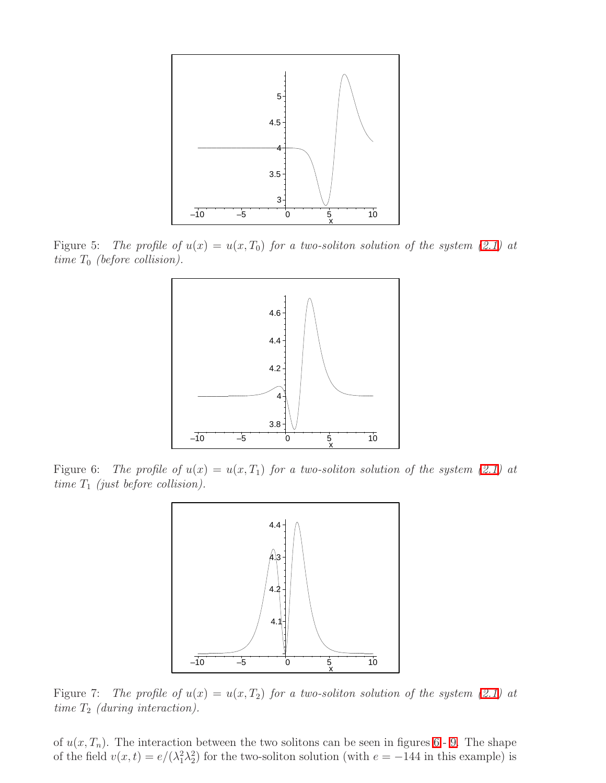

<span id="page-15-0"></span>Figure 5: The profile of  $u(x) = u(x,T_0)$  for a two-soliton solution of the system [\(2.1\)](#page-2-0) at time  $T_0$  (before collision).



<span id="page-15-1"></span>Figure 6: The profile of  $u(x) = u(x, T_1)$  for a two-soliton solution of the system [\(2.1\)](#page-2-0) at time  $T_1$  (just before collision).



<span id="page-15-2"></span>Figure 7: The profile of  $u(x) = u(x, T_2)$  for a two-soliton solution of the system [\(2.1\)](#page-2-0) at time  $T_2$  (during interaction).

of  $u(x, T_n)$ . The interaction between the two solitons can be seen in figures [6](#page-15-1) - [9.](#page-16-0) The shape of the field  $v(x,t) = e/(\lambda_1^2 \lambda_2^2)$  for the two-soliton solution (with  $e = -144$  in this example) is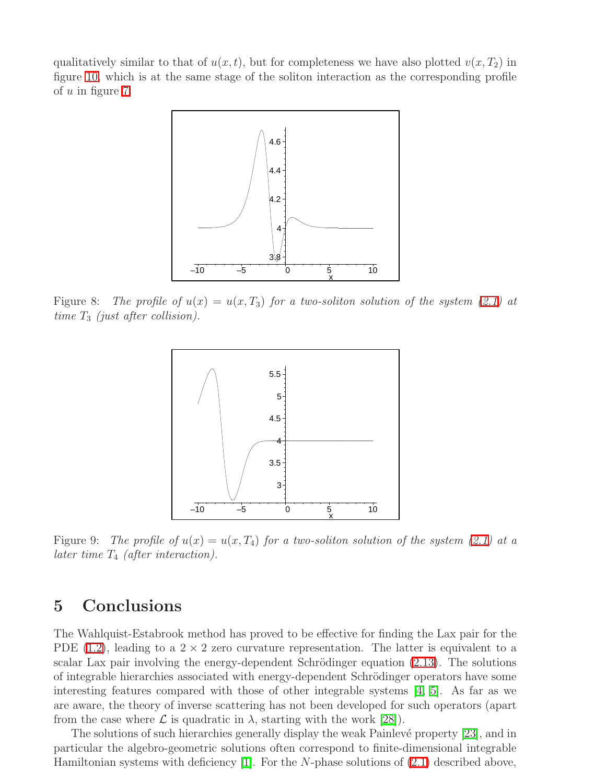qualitatively similar to that of  $u(x, t)$ , but for completeness we have also plotted  $v(x, T_2)$  in figure [10,](#page-17-0) which is at the same stage of the soliton interaction as the corresponding profile of  $u$  in figure [7.](#page-15-2)



Figure 8: The profile of  $u(x) = u(x,T_3)$  for a two-soliton solution of the system [\(2.1\)](#page-2-0) at time  $T_3$  (just after collision).



<span id="page-16-0"></span>Figure 9: The profile of  $u(x) = u(x, T_4)$  for a two-soliton solution of the system [\(2.1\)](#page-2-0) at a later time  $T_4$  (after interaction).

### 5 Conclusions

The Wahlquist-Estabrook method has proved to be effective for finding the Lax pair for the PDE [\(1.2\)](#page-0-1), leading to a  $2 \times 2$  zero curvature representation. The latter is equivalent to a scalar Lax pair involving the energy-dependent Schrödinger equation  $(2.13)$ . The solutions of integrable hierarchies associated with energy-dependent Schrödinger operators have some interesting features compared with those of other integrable systems [\[4,](#page-19-15) [5\]](#page-19-16). As far as we are aware, the theory of inverse scattering has not been developed for such operators (apart from the case where  $\mathcal L$  is quadratic in  $\lambda$ , starting with the work [\[28\]](#page-20-2)).

The solutions of such hierarchies generally display the weak Painlevé property [\[23\]](#page-20-12), and in particular the algebro-geometric solutions often correspond to finite-dimensional integrable Hamiltonian systems with deficiency  $[1]$ . For the N-phase solutions of  $(2.1)$  described above,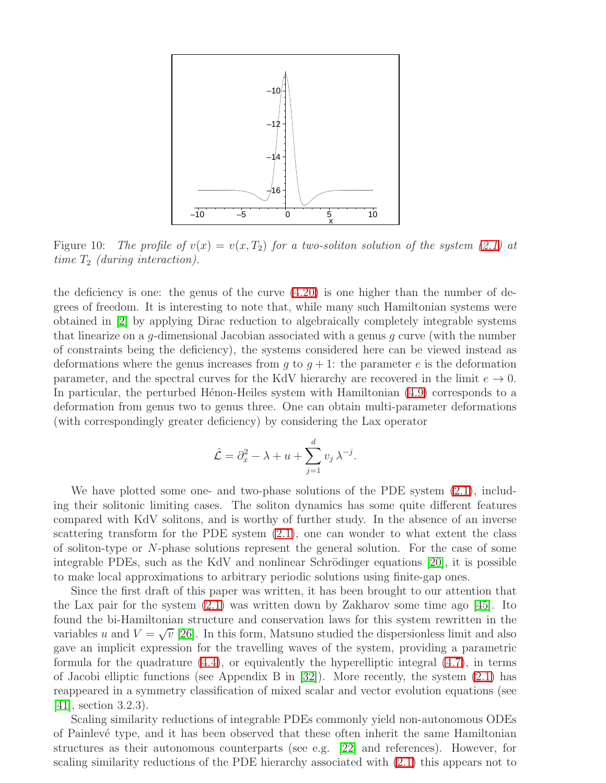

<span id="page-17-0"></span>Figure 10: The profile of  $v(x) = v(x,T_2)$  for a two-soliton solution of the system [\(2.1\)](#page-2-0) at time  $T_2$  (during interaction).

the deficiency is one: the genus of the curve  $(4.20)$  is one higher than the number of degrees of freedom. It is interesting to note that, while many such Hamiltonian systems were obtained in [\[2\]](#page-19-8) by applying Dirac reduction to algebraically completely integrable systems that linearize on a  $q$ -dimensional Jacobian associated with a genus  $q$  curve (with the number of constraints being the deficiency), the systems considered here can be viewed instead as deformations where the genus increases from g to  $g + 1$ : the parameter e is the deformation parameter, and the spectral curves for the KdV hierarchy are recovered in the limit  $e \to 0$ . In particular, the perturbed H $\acute{e}$ non-Heiles system with Hamiltonian [\(4.9\)](#page-10-3) corresponds to a deformation from genus two to genus three. One can obtain multi-parameter deformations (with correspondingly greater deficiency) by considering the Lax operator

$$
\hat{\mathcal{L}} = \partial_x^2 - \lambda + u + \sum_{j=1}^d v_j \lambda^{-j}.
$$

We have plotted some one- and two-phase solutions of the PDE system  $(2.1)$ , including their solitonic limiting cases. The soliton dynamics has some quite different features compared with KdV solitons, and is worthy of further study. In the absence of an inverse scattering transform for the PDE system [\(2.1\)](#page-2-0), one can wonder to what extent the class of soliton-type or N-phase solutions represent the general solution. For the case of some integrable PDEs, such as the KdV and nonlinear Schrödinger equations  $[20]$ , it is possible to make local approximations to arbitrary periodic solutions using finite-gap ones.

Since the first draft of this paper was written, it has been brought to our attention that the Lax pair for the system [\(2.1\)](#page-2-0) was written down by Zakharov some time ago [\[45\]](#page-20-16). Ito found the bi-Hamiltonian structure and conservation laws for this system rewritten in the variables u and  $V = \sqrt{v}$  [\[26\]](#page-20-17). In this form, Matsuno studied the dispersionless limit and also gave an implicit expression for the travelling waves of the system, providing a parametric formula for the quadrature [\(4.4\)](#page-8-2), or equivalently the hyperelliptic integral [\(4.7\)](#page-9-0), in terms of Jacobi elliptic functions (see Appendix B in [\[32\]](#page-20-18)). More recently, the system [\(2.1\)](#page-2-0) has reappeared in a symmetry classification of mixed scalar and vector evolution equations (see  $[41]$ , section 3.2.3).

Scaling similarity reductions of integrable PDEs commonly yield non-autonomous ODEs of Painlev´e type, and it has been observed that these often inherit the same Hamiltonian structures as their autonomous counterparts (see e.g. [\[22\]](#page-19-18) and references). However, for scaling similarity reductions of the PDE hierarchy associated with [\(2.1\)](#page-2-0) this appears not to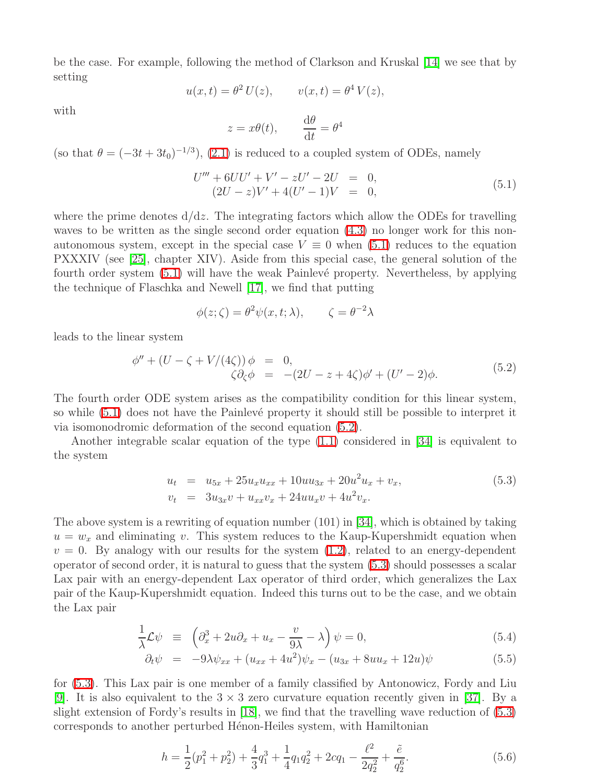be the case. For example, following the method of Clarkson and Kruskal [\[14\]](#page-19-19) we see that by setting

$$
u(x,t) = \theta^2 U(z), \qquad v(x,t) = \theta^4 V(z),
$$

with

<span id="page-18-0"></span>
$$
z = x\theta(t)
$$
,  $\frac{d\theta}{dt} = \theta^4$ 

(so that  $\theta = (-3t + 3t_0)^{-1/3}$ ), [\(2.1\)](#page-2-0) is reduced to a coupled system of ODEs, namely

$$
U''' + 6UU' + V' - zU' - 2U = 0,(2U - z)V' + 4(U' - 1)V = 0,
$$
\n(5.1)

where the prime denotes  $d/dz$ . The integrating factors which allow the ODEs for travelling waves to be written as the single second order equation [\(4.3\)](#page-8-3) no longer work for this nonautonomous system, except in the special case  $V \equiv 0$  when [\(5.1\)](#page-18-0) reduces to the equation PXXXIV (see [\[25\]](#page-20-20), chapter XIV). Aside from this special case, the general solution of the fourth order system  $(5.1)$  will have the weak Painlevé property. Nevertheless, by applying the technique of Flaschka and Newell [\[17\]](#page-19-20), we find that putting

$$
\phi(z;\zeta) = \theta^2 \psi(x,t;\lambda), \qquad \zeta = \theta^{-2}\lambda
$$

leads to the linear system

<span id="page-18-1"></span>
$$
\phi'' + (U - \zeta + V/(4\zeta)) \phi = 0,\n\zeta \partial_{\zeta} \phi = -(2U - z + 4\zeta)\phi' + (U' - 2)\phi.
$$
\n(5.2)

The fourth order ODE system arises as the compatibility condition for this linear system, so while  $(5.1)$  does not have the Painlevé property it should still be possible to interpret it via isomonodromic deformation of the second equation [\(5.2\)](#page-18-1).

<span id="page-18-2"></span>Another integrable scalar equation of the type [\(1.1\)](#page-0-0) considered in [\[34\]](#page-20-0) is equivalent to the system

$$
u_t = u_{5x} + 25u_xu_{xx} + 10uu_{3x} + 20u^2u_x + v_x,
$$
  
\n
$$
v_t = 3u_{3x}v + u_{xx}v_x + 24uu_xv + 4u^2v_x.
$$
\n(5.3)

The above system is a rewriting of equation number  $(101)$  in [\[34\]](#page-20-0), which is obtained by taking  $u = w_x$  and eliminating v. This system reduces to the Kaup-Kupershmidt equation when  $v = 0$ . By analogy with our results for the system  $(1.2)$ , related to an energy-dependent operator of second order, it is natural to guess that the system [\(5.3\)](#page-18-2) should possesses a scalar Lax pair with an energy-dependent Lax operator of third order, which generalizes the Lax pair of the Kaup-Kupershmidt equation. Indeed this turns out to be the case, and we obtain the Lax pair

$$
\frac{1}{\lambda}\mathcal{L}\psi \equiv \left(\partial_x^3 + 2u\partial_x + u_x - \frac{v}{9\lambda} - \lambda\right)\psi = 0,\tag{5.4}
$$

$$
\partial_t \psi = -9\lambda \psi_{xx} + (u_{xx} + 4u^2)\psi_x - (u_{3x} + 8uu_x + 12u)\psi \tag{5.5}
$$

for [\(5.3\)](#page-18-2). This Lax pair is one member of a family classified by Antonowicz, Fordy and Liu [\[9\]](#page-19-21). It is also equivalent to the  $3 \times 3$  zero curvature equation recently given in [\[37\]](#page-20-21). By a slight extension of Fordy's results in [\[18\]](#page-19-2), we find that the travelling wave reduction of [\(5.3\)](#page-18-2) corresponds to another perturbed Hénon-Heiles system, with Hamiltonian

$$
h = \frac{1}{2}(p_1^2 + p_2^2) + \frac{4}{3}q_1^3 + \frac{1}{4}q_1q_2^2 + 2cq_1 - \frac{\ell^2}{2q_2^2} + \frac{\tilde{e}}{q_2^6}.
$$
 (5.6)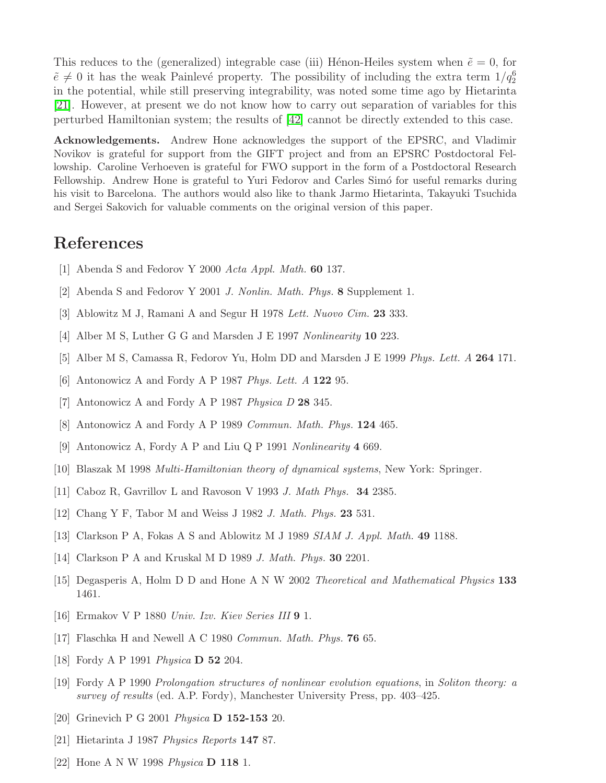This reduces to the (generalized) integrable case (iii) Hénon-Heiles system when  $\tilde{e} = 0$ , for  $\tilde{e} \neq 0$  it has the weak Painlevé property. The possibility of including the extra term  $1/q_2^6$ in the potential, while still preserving integrability, was noted some time ago by Hietarinta [\[21\]](#page-19-12). However, at present we do not know how to carry out separation of variables for this perturbed Hamiltonian system; the results of [\[42\]](#page-20-14) cannot be directly extended to this case.

Acknowledgements. Andrew Hone acknowledges the support of the EPSRC, and Vladimir Novikov is grateful for support from the GIFT project and from an EPSRC Postdoctoral Fellowship. Caroline Verhoeven is grateful for FWO support in the form of a Postdoctoral Research Fellowship. Andrew Hone is grateful to Yuri Fedorov and Carles Simó for useful remarks during his visit to Barcelona. The authors would also like to thank Jarmo Hietarinta, Takayuki Tsuchida and Sergei Sakovich for valuable comments on the original version of this paper.

## <span id="page-19-7"></span>References

- <span id="page-19-8"></span>[1] Abenda S and Fedorov Y 2000 Acta Appl. Math. **60** 137.
- <span id="page-19-6"></span>[2] Abenda S and Fedorov Y 2001 J. Nonlin. Math. Phys. 8 Supplement 1.
- <span id="page-19-15"></span>[3] Ablowitz M J, Ramani A and Segur H 1978 Lett. Nuovo Cim. 23 333.
- <span id="page-19-16"></span>[4] Alber M S, Luther G G and Marsden J E 1997 Nonlinearity 10 223.
- <span id="page-19-4"></span>[5] Alber M S, Camassa R, Fedorov Yu, Holm DD and Marsden J E 1999 Phys. Lett. A 264 171.
- <span id="page-19-0"></span>[6] Antonowicz A and Fordy A P 1987 Phys. Lett. A  $122$  95.
- <span id="page-19-1"></span>[7] Antonowicz A and Fordy A P 1987 Physica D 28 345.
- <span id="page-19-21"></span>[8] Antonowicz A and Fordy A P 1989 Commun. Math. Phys. 124 465.
- [9] Antonowicz A, Fordy A P and Liu Q P 1991 Nonlinearity 4 669.
- <span id="page-19-14"></span><span id="page-19-13"></span>[10] Blaszak M 1998 Multi-Hamiltonian theory of dynamical systems, New York: Springer.
- <span id="page-19-11"></span>[11] Caboz R, Gavrillov L and Ravoson V 1993 J. Math Phys. 34 2385.
- <span id="page-19-9"></span>[12] Chang Y F, Tabor M and Weiss J 1982 *J. Math. Phys.* **23** 531.
- <span id="page-19-19"></span>[13] Clarkson P A, Fokas A S and Ablowitz M J 1989 SIAM J. Appl. Math. 49 1188.
- <span id="page-19-10"></span>[14] Clarkson P A and Kruskal M D 1989 *J. Math. Phys.* **30** 2201.
- <span id="page-19-5"></span>[15] Degasperis A, Holm D D and Hone A N W 2002 Theoretical and Mathematical Physics 133 1461.
- <span id="page-19-20"></span>[16] Ermakov V P 1880 Univ. Izv. Kiev Series III 9 1.
- <span id="page-19-2"></span>[17] Flaschka H and Newell A C 1980 *Commun. Math. Phys.* **76** 65.
- <span id="page-19-3"></span>[18] Fordy A P 1991 *Physica* **D 52** 204.
- [19] Fordy A P 1990 Prolongation structures of nonlinear evolution equations, in Soliton theory: a survey of results (ed. A.P. Fordy), Manchester University Press, pp. 403–425.
- <span id="page-19-17"></span><span id="page-19-12"></span>[20] Grinevich P G 2001 Physica D 152-153 20.
- <span id="page-19-18"></span>[21] Hietarinta J 1987 Physics Reports 147 87.
- [22] Hone A N W 1998 Physica D 118 1.